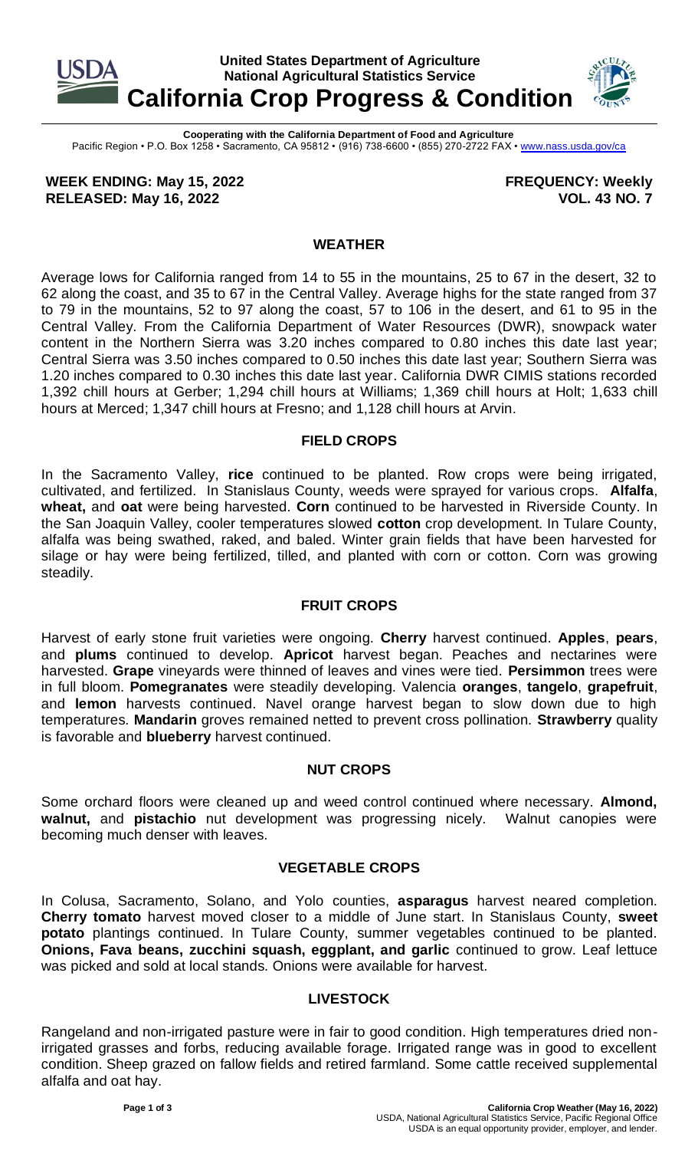

**Cooperating with the California Department of Food and Agriculture** Pacific Region • P.O. Box 1258 • Sacramento, CA 95812 • (916) 738-6600 • (855) 270-2722 FAX [• www.nass.usda.gov/ca](http://www.nass.usda.gov/ca)

**WEEK ENDING: May 15, 2022 RELEASED: May 16, 2022**

**FREQUENCY: Weekly VOL. 43 NO. 7**

### **WEATHER**

Average lows for California ranged from 14 to 55 in the mountains, 25 to 67 in the desert, 32 to 62 along the coast, and 35 to 67 in the Central Valley. Average highs for the state ranged from 37 to 79 in the mountains, 52 to 97 along the coast, 57 to 106 in the desert, and 61 to 95 in the Central Valley. From the California Department of Water Resources (DWR), snowpack water content in the Northern Sierra was 3.20 inches compared to 0.80 inches this date last year; Central Sierra was 3.50 inches compared to 0.50 inches this date last year; Southern Sierra was 1.20 inches compared to 0.30 inches this date last year. California DWR CIMIS stations recorded 1,392 chill hours at Gerber; 1,294 chill hours at Williams; 1,369 chill hours at Holt; 1,633 chill hours at Merced; 1,347 chill hours at Fresno; and 1,128 chill hours at Arvin.

### **FIELD CROPS**

In the Sacramento Valley, **rice** continued to be planted. Row crops were being irrigated, cultivated, and fertilized. In Stanislaus County, weeds were sprayed for various crops. **Alfalfa**, **wheat,** and **oat** were being harvested. **Corn** continued to be harvested in Riverside County. In the San Joaquin Valley, cooler temperatures slowed **cotton** crop development. In Tulare County, alfalfa was being swathed, raked, and baled. Winter grain fields that have been harvested for silage or hay were being fertilized, tilled, and planted with corn or cotton. Corn was growing steadily.

# **FRUIT CROPS**

Harvest of early stone fruit varieties were ongoing. **Cherry** harvest continued. **Apples**, **pears**, and **plums** continued to develop. **Apricot** harvest began. Peaches and nectarines were harvested. **Grape** vineyards were thinned of leaves and vines were tied. **Persimmon** trees were in full bloom. **Pomegranates** were steadily developing. Valencia **oranges**, **tangelo**, **grapefruit**, and **lemon** harvests continued. Navel orange harvest began to slow down due to high temperatures. **Mandarin** groves remained netted to prevent cross pollination. **Strawberry** quality is favorable and **blueberry** harvest continued.

# **NUT CROPS**

Some orchard floors were cleaned up and weed control continued where necessary. **Almond, walnut,** and **pistachio** nut development was progressing nicely. Walnut canopies were becoming much denser with leaves.

#### **VEGETABLE CROPS**

In Colusa, Sacramento, Solano, and Yolo counties, **asparagus** harvest neared completion. **Cherry tomato** harvest moved closer to a middle of June start. In Stanislaus County, **sweet potato** plantings continued. In Tulare County, summer vegetables continued to be planted. **Onions, Fava beans, zucchini squash, eggplant, and garlic** continued to grow. Leaf lettuce was picked and sold at local stands. Onions were available for harvest.

# **LIVESTOCK**

Rangeland and non-irrigated pasture were in fair to good condition. High temperatures dried nonirrigated grasses and forbs, reducing available forage. Irrigated range was in good to excellent condition. Sheep grazed on fallow fields and retired farmland. Some cattle received supplemental alfalfa and oat hay.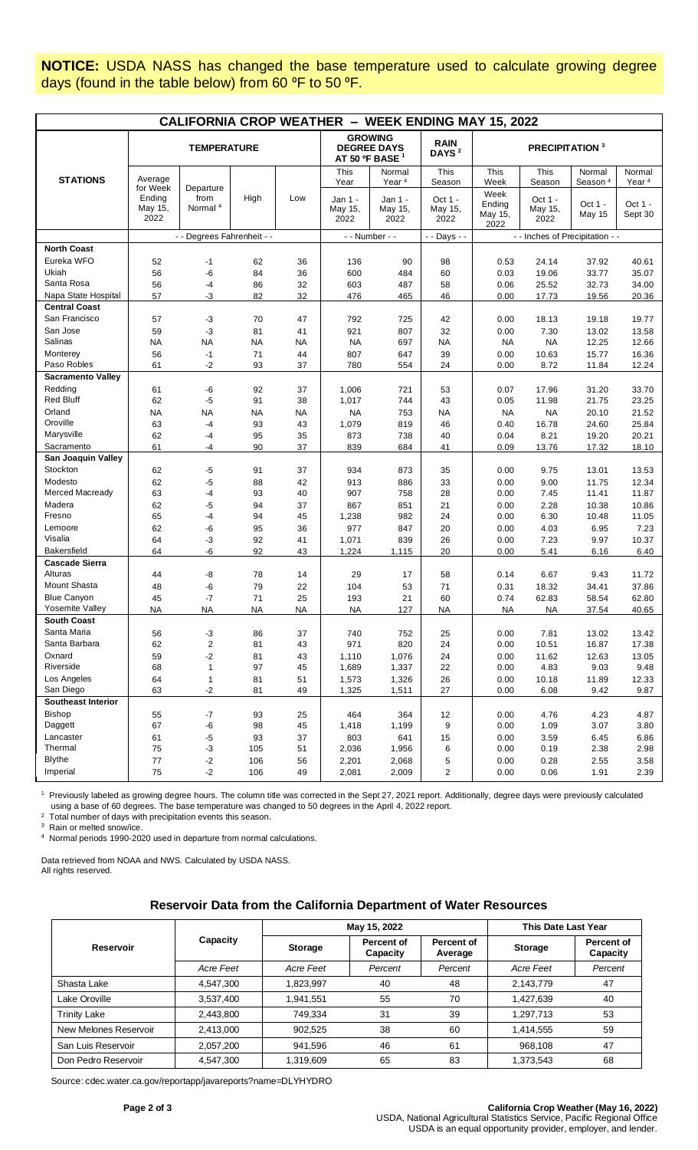**NOTICE:** USDA NASS has changed the base temperature used to calculate growing degree days (found in the table below) from 60 °F to 50 °F.

| <b>CALIFORNIA CROP WEATHER - WEEK ENDING MAY 15, 2022</b> |                                       |                                          |           |                                                                    |                                |                                  |                            |                                   |                            |                               |                             |
|-----------------------------------------------------------|---------------------------------------|------------------------------------------|-----------|--------------------------------------------------------------------|--------------------------------|----------------------------------|----------------------------|-----------------------------------|----------------------------|-------------------------------|-----------------------------|
|                                                           | <b>TEMPERATURE</b>                    |                                          |           | <b>GROWING</b><br><b>DEGREE DAYS</b><br>AT 50 °F BASE <sup>1</sup> |                                | <b>RAIN</b><br>DAYS <sup>2</sup> | PRECIPITATION <sup>3</sup> |                                   |                            |                               |                             |
| <b>STATIONS</b>                                           | Average                               |                                          |           |                                                                    | This<br>Year                   | Normal<br>Year <sup>4</sup>      | This<br>Season             | This<br>Week                      | This<br>Season             | Normal<br>Season <sup>4</sup> | Normal<br>Year <sup>4</sup> |
|                                                           | for Week<br>Ending<br>May 15,<br>2022 | Departure<br>from<br>Normal <sup>4</sup> | High      | Low                                                                | Jan 1 -<br>May 15,<br>2022     | Jan 1 -<br>May 15,<br>2022       | Oct 1 -<br>May 15,<br>2022 | Week<br>Ending<br>May 15,<br>2022 | Oct 1 -<br>May 15,<br>2022 | Oct 1 -<br><b>May 15</b>      | Oct 1 -<br>Sept 30          |
|                                                           |                                       | - - Degrees Fahrenheit - -               |           |                                                                    | - - Number - -<br>- - Days - - |                                  |                            | - - Inches of Precipitation - -   |                            |                               |                             |
| <b>North Coast</b>                                        |                                       |                                          |           |                                                                    |                                |                                  |                            |                                   |                            |                               |                             |
| Eureka WFO                                                | 52                                    | $-1$                                     | 62        | 36                                                                 | 136                            | 90                               | 98                         | 0.53                              | 24.14                      | 37.92                         | 40.61                       |
| Ukiah                                                     | 56                                    | -6                                       | 84        | 36                                                                 | 600                            | 484                              | 60                         | 0.03                              | 19.06                      | 33.77                         | 35.07                       |
| Santa Rosa                                                | 56                                    | $-4$                                     | 86        | 32                                                                 | 603                            | 487                              | 58                         | 0.06                              | 25.52                      | 32.73                         | 34.00                       |
| Napa State Hospital                                       | 57                                    | -3                                       | 82        | 32                                                                 | 476                            | 465                              | 46                         | 0.00                              | 17.73                      | 19.56                         | 20.36                       |
| <b>Central Coast</b>                                      |                                       |                                          |           |                                                                    |                                |                                  |                            |                                   |                            |                               |                             |
| San Francisco                                             | 57                                    | $-3$                                     | 70        | 47                                                                 | 792                            | 725                              | 42                         | 0.00                              | 18.13                      | 19.18                         | 19.77                       |
| San Jose                                                  | 59                                    | -3                                       | 81        | 41                                                                 | 921                            | 807                              | 32                         | 0.00                              | 7.30                       | 13.02                         | 13.58                       |
| Salinas                                                   | <b>NA</b>                             | ΝA                                       | NA        | NA                                                                 | <b>NA</b>                      | 697                              | NA                         | <b>NA</b>                         | <b>NA</b>                  | 12.25                         | 12.66                       |
| Monterey                                                  | 56                                    | $-1$                                     | 71        | 44                                                                 | 807                            | 647                              | 39                         | 0.00                              | 10.63                      | 15.77                         | 16.36                       |
| Paso Robles                                               | 61                                    | $-2$                                     | 93        | 37                                                                 | 780                            | 554                              | 24                         | 0.00                              | 8.72                       | 11.84                         | 12.24                       |
| <b>Sacramento Valley</b>                                  |                                       |                                          |           |                                                                    |                                |                                  |                            |                                   |                            |                               |                             |
| Redding                                                   | 61                                    | -6                                       | 92        | 37                                                                 | 1,006                          | 721                              | 53                         | 0.07                              | 17.96                      | 31.20                         | 33.70                       |
| <b>Red Bluff</b>                                          | 62                                    | $-5$                                     | 91        | 38                                                                 | 1,017                          | 744                              | 43                         | 0.05                              | 11.98                      | 21.75                         | 23.25                       |
| Orland                                                    | <b>NA</b>                             | ΝA                                       | <b>NA</b> | NA                                                                 | <b>NA</b>                      | 753                              | ΝA                         | <b>NA</b>                         | <b>NA</b>                  | 20.10                         | 21.52                       |
| Oroville                                                  | 63                                    | $-4$                                     | 93        | 43                                                                 | 1,079                          | 819                              | 46                         | 0.40                              | 16.78                      | 24.60                         | 25.84                       |
| Marysville                                                | 62                                    | $-4$                                     | 95        | 35                                                                 | 873                            | 738                              | 40                         | 0.04                              | 8.21                       | 19.20                         | 20.21                       |
| Sacramento                                                | 61                                    | -4                                       | 90        | 37                                                                 | 839                            | 684                              | 41                         | 0.09                              | 13.76                      | 17.32                         | 18.10                       |
| San Joaquin Valley                                        |                                       |                                          |           |                                                                    |                                |                                  |                            |                                   |                            |                               |                             |
| Stockton                                                  | 62                                    | $-5$                                     | 91        | 37                                                                 | 934                            | 873                              | 35                         | 0.00                              | 9.75                       | 13.01                         | 13.53                       |
| Modesto                                                   | 62                                    | -5                                       | 88        | 42                                                                 | 913                            | 886                              | 33                         | 0.00                              | 9.00                       | 11.75                         | 12.34                       |
| <b>Merced Macready</b>                                    | 63                                    | -4                                       | 93        | 40                                                                 | 907                            | 758                              | 28                         | 0.00                              | 7.45                       | 11.41                         | 11.87                       |
| Madera                                                    | 62                                    | -5                                       | 94        | 37                                                                 | 867                            | 851                              | 21                         | 0.00                              | 2.28                       | 10.38                         | 10.86                       |
| Fresno                                                    | 65                                    | -4                                       | 94        | 45                                                                 | 1,238                          | 982                              | 24                         | 0.00                              | 6.30                       | 10.48                         | 11.05                       |
| Lemoore                                                   | 62                                    | -6                                       | 95        | 36                                                                 | 977                            | 847                              | 20                         | 0.00                              | 4.03                       | 6.95                          | 7.23                        |
| Visalia                                                   | 64                                    | -3                                       | 92        | 41                                                                 | 1,071                          | 839                              | 26                         | 0.00                              | 7.23                       | 9.97                          | 10.37                       |
| <b>Bakersfield</b><br><b>Cascade Sierra</b>               | 64                                    | $-6$                                     | 92        | 43                                                                 | 1,224                          | 1,115                            | 20                         | 0.00                              | 5.41                       | 6.16                          | 6.40                        |
| Alturas                                                   |                                       |                                          | 78        |                                                                    |                                |                                  | 58                         |                                   |                            |                               |                             |
| <b>Mount Shasta</b>                                       | 44                                    | -8                                       |           | 14                                                                 | 29                             | 17                               | 71                         | 0.14                              | 6.67                       | 9.43                          | 11.72                       |
| <b>Blue Canyon</b>                                        | 48<br>45                              | -6<br>$-7$                               | 79<br>71  | 22<br>25                                                           | 104<br>193                     | 53<br>21                         | 60                         | 0.31<br>0.74                      | 18.32<br>62.83             | 34.41<br>58.54                | 37.86<br>62.80              |
| Yosemite Valley                                           | <b>NA</b>                             | NA                                       | <b>NA</b> | <b>NA</b>                                                          | <b>NA</b>                      | 127                              | <b>NA</b>                  | <b>NA</b>                         | ΝA                         | 37.54                         | 40.65                       |
| <b>South Coast</b>                                        |                                       |                                          |           |                                                                    |                                |                                  |                            |                                   |                            |                               |                             |
| Santa Maria                                               | 56                                    | $-3$                                     | 86        | 37                                                                 | 740                            | 752                              | 25                         | 0.00                              | 7.81                       | 13.02                         | 13.42                       |
| Santa Barbara                                             | 62                                    | $\overline{c}$                           | 81        | 43                                                                 | 971                            | 820                              | 24                         | 0.00                              | 10.51                      | 16.87                         | 17.38                       |
| Oxnard                                                    | 59                                    | $-2$                                     | 81        | 43                                                                 | 1,110                          | 1,076                            | 24                         | 0.00                              | 11.62                      | 12.63                         | 13.05                       |
| Riverside                                                 | 68                                    | 1                                        | 97        | 45                                                                 | 1,689                          | 1,337                            | 22                         | 0.00                              | 4.83                       | 9.03                          | 9.48                        |
| Los Angeles                                               | 64                                    | $\mathbf{1}$                             | 81        | 51                                                                 | 1,573                          | 1,326                            | 26                         | 0.00                              | 10.18                      | 11.89                         | 12.33                       |
| San Diego                                                 | 63                                    | $-2$                                     | 81        | 49                                                                 | 1,325                          | 1,511                            | 27                         | 0.00                              | 6.08                       | 9.42                          | 9.87                        |
| <b>Southeast Interior</b>                                 |                                       |                                          |           |                                                                    |                                |                                  |                            |                                   |                            |                               |                             |
| Bishop                                                    | 55                                    | -7                                       | 93        | 25                                                                 | 464                            | 364                              | 12                         | 0.00                              | 4.76                       | 4.23                          | 4.87                        |
| Daggett                                                   | 67                                    | -6                                       | 98        | 45                                                                 | 1,418                          | 1,199                            | 9                          | 0.00                              | 1.09                       | 3.07                          | 3.80                        |
| Lancaster                                                 | 61                                    | $-5$                                     | 93        | 37                                                                 | 803                            | 641                              | 15                         | 0.00                              | 3.59                       | 6.45                          | 6.86                        |
| Thermal                                                   | 75                                    | $-3$                                     | 105       | 51                                                                 | 2,036                          | 1,956                            | 6                          | 0.00                              | 0.19                       | 2.38                          | 2.98                        |
| <b>Blythe</b>                                             | 77                                    | $-2$                                     | 106       | 56                                                                 | 2,201                          | 2,068                            | 5                          | 0.00                              | 0.28                       | 2.55                          | 3.58                        |
| Imperial                                                  | 75                                    | $-2$                                     | 106       | 49                                                                 | 2,081                          | 2,009                            | 2                          | 0.00                              | 0.06                       | 1.91                          | 2.39                        |

<sup>1</sup> Previously labeled as growing degree hours. The column title was corrected in the Sept 27, 2021 report. Additionally, degree days were previously calculated using a base of 60 degrees. The base temperature was changed to 50 degrees in the April 4, 2022 report. 2 Total number of days with precipitation events this season.

3 Rain or melted snow/ice.

4 Normal periods 1990-2020 used in departure from normal calculations.

Data retrieved from NOAA and NWS. Calculated by USDA NASS. All rights reserved.

#### **Reservoir Data from the California Department of Water Resources**

|                       |           |           | May 15, 2022           | This Date Last Year   |                |                        |
|-----------------------|-----------|-----------|------------------------|-----------------------|----------------|------------------------|
| <b>Reservoir</b>      | Capacity  | Storage   | Percent of<br>Capacity | Percent of<br>Average | <b>Storage</b> | Percent of<br>Capacity |
|                       | Acre Feet | Acre Feet | Percent                | Percent               | Acre Feet      | Percent                |
| Shasta Lake           | 4,547,300 | 1,823,997 | 40                     | 48                    | 2,143,779      | 47                     |
| Lake Oroville         | 3,537,400 | 1,941,551 | 55                     | 70                    | 1,427,639      | 40                     |
| <b>Trinity Lake</b>   | 2,443,800 | 749,334   | 31                     | 39                    | 1,297,713      | 53                     |
| New Melones Reservoir | 2,413,000 | 902.525   | 38                     | 60                    | 1,414,555      | 59                     |
| San Luis Reservoir    | 2,057,200 | 941,596   | 46                     | 61                    | 968,108        | 47                     |
| Don Pedro Reservoir   | 4,547,300 | 1,319,609 | 65                     | 83                    | 1,373,543      | 68                     |

Source[: cdec.water.ca.gov/reportapp/javareports?name=DLYHYDRO](https://cdec.water.ca.gov/reportapp/javareports?name=DLYHYDRO)